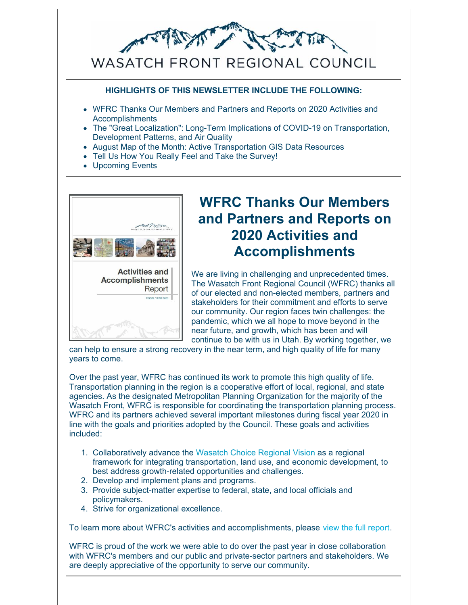

#### **HIGHLIGHTS OF THIS NEWSLETTER INCLUDE THE FOLLOWING:**

- WFRC Thanks Our Members and Partners and Reports on 2020 Activities and Accomplishments
- The "Great Localization": Long-Term Implications of COVID-19 on Transportation, Development Patterns, and Air Quality
- August Map of the Month: Active Transportation GIS Data Resources
- Tell Us How You Really Feel and Take the Survey!
- Upcoming Events



# **WFRC Thanks Our Members and Partners and Reports on 2020 Activities and Accomplishments**

We are living in challenging and unprecedented times. The Wasatch Front Regional Council (WFRC) thanks all of our elected and non-elected members, partners and stakeholders for their commitment and efforts to serve our community. Our region faces twin challenges: the pandemic, which we all hope to move beyond in the near future, and growth, which has been and will continue to be with us in Utah. By working together, we

can help to ensure a strong recovery in the near term, and high quality of life for many years to come.

Over the past year, WFRC has continued its work to promote this high quality of life. Transportation planning in the region is a cooperative effort of local, regional, and state agencies. As the designated Metropolitan Planning Organization for the majority of the Wasatch Front, WFRC is responsible for coordinating the transportation planning process. WFRC and its partners achieved several important milestones during fiscal year 2020 in line with the goals and priorities adopted by the Council. These goals and activities included:

- 1. Collaboratively advance the Wasatch Choice [Regional](https://wfrc.org/vision-plans/wasatch-choice-2050/) Vision as a regional framework for integrating transportation, land use, and economic development, to best address growth-related opportunities and challenges.
- 2. Develop and implement plans and programs.
- 3. Provide subject-matter expertise to federal, state, and local officials and policymakers.
- 4. Strive for organizational excellence.

To learn more about WFRC's activities and accomplishments, please view the full [report](https://wfrc.org/About/ActivitiesAndAccomplishments/10337_8_2020_Accomplishments_Report_FIN_8_26_2020.pdf).

WFRC is proud of the work we were able to do over the past year in close collaboration with WFRC's members and our public and private-sector partners and stakeholders. We are deeply appreciative of the opportunity to serve our community.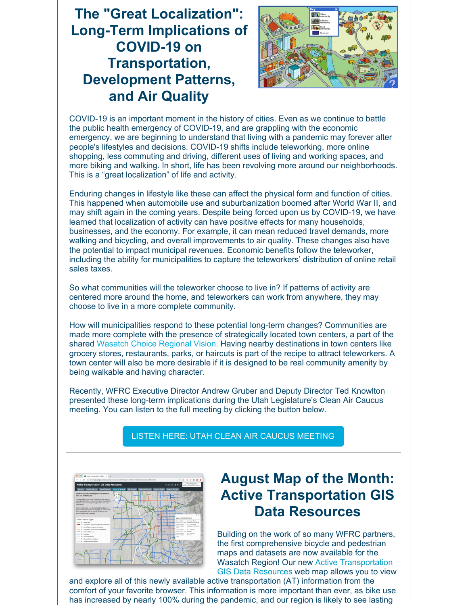# **The "Great Localization": Long-Term Implications of COVID-19 on Transportation, Development Patterns, and Air Quality**



COVID-19 is an important moment in the history of cities. Even as we continue to battle the public health emergency of COVID-19, and are grappling with the economic emergency, we are beginning to understand that living with a pandemic may forever alter people's lifestyles and decisions. COVID-19 shifts include teleworking, more online shopping, less commuting and driving, different uses of living and working spaces, and more biking and walking. In short, life has been revolving more around our neighborhoods. This is a "great localization" of life and activity.

Enduring changes in lifestyle like these can affect the physical form and function of cities. This happened when automobile use and suburbanization boomed after World War II, and may shift again in the coming years. Despite being forced upon us by COVID-19, we have learned that localization of activity can have positive effects for many households, businesses, and the economy. For example, it can mean reduced travel demands, more walking and bicycling, and overall improvements to air quality. These changes also have the potential to impact municipal revenues. Economic benefits follow the teleworker, including the ability for municipalities to capture the teleworkers' distribution of online retail sales taxes.

So what communities will the teleworker choose to live in? If patterns of activity are centered more around the home, and teleworkers can work from anywhere, they may choose to live in a more complete community.

How will municipalities respond to these potential long-term changes? Communities are made more complete with the presence of strategically located town centers, a part of the shared Wasatch Choice [Regional](https://wfrc.org/vision-plans/wasatch-choice-2050/) Vision. Having nearby destinations in town centers like grocery stores, restaurants, parks, or haircuts is part of the recipe to attract teleworkers. A town center will also be more desirable if it is designed to be real community amenity by being walkable and having character.

Recently, WFRC Executive Director Andrew Gruber and Deputy Director Ted Knowlton presented these long-term implications during the Utah Legislature's Clean Air Caucus meeting. You can listen to the full meeting by clicking the button below.

#### LISTEN HERE: UTAH CLEAN AIR CAUCUS [MEETING](https://www.facebook.com/todd.weiler/videos/10158634513398044)



# **August Map of the Month: Active Transportation GIS Data Resources**

Building on the work of so many WFRC partners, the first comprehensive bicycle and pedestrian maps and datasets are now available for the Wasatch Region! Our new Active [Transportation](http://www.wfrc.org/at-map) GIS Data Resources web [map](http://www.wfrc.org/at-map) allows you to view

and explore all of this newly available active transportation (AT) information from the comfort of your favorite browser. This information is more important than ever, as bike use has increased by nearly 100% during the pandemic, and our region is likely to see lasting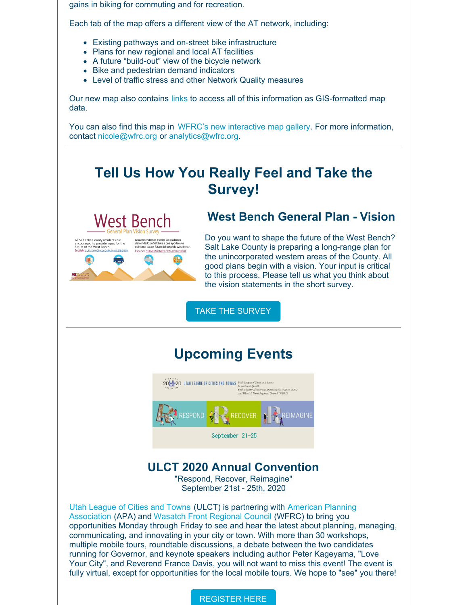gains in biking for commuting and for recreation.

Each tab of the map offers a different view of the AT network, including:

- Existing pathways and on-street bike infrastructure
- Plans for new regional and local AT facilities
- A future "build-out" view of the bicycle network
- Bike and pedestrian demand indicators
- Level of traffic stress and other Network Quality measures

Our new map also contains [links](https://gis.utah.gov/bike-related-gis-data-resources/) to access all of this information as GIS-formatted map data.

You can also find this map in WFRC's new [interactive](https://maps.wfrc.org/) map gallery. For more information, contact [nicole@wfrc.org](mailto:nicole@wfrc.org) or [analytics@wfrc.org](mailto:analytics@wfrc.org).

# **Tell Us How You Really Feel and Take the Survey!**



#### **West Bench General Plan - Vision**

Do you want to shape the future of the West Bench? Salt Lake County is preparing a long-range plan for the unincorporated western areas of the County. All good plans begin with a vision. Your input is critical to this process. Please tell us what you think about the vision statements in the short survey.

TAKE THE [SURVEY](https://www.surveymonkey.com/r/westbench)

### **Upcoming Events**



### **ULCT 2020 Annual Convention**

"Respond, Recover, Reimagine" September 21st - 25th, 2020

Utah [League](http://www.ulct.org/) of Cities and Towns (ULCT) is partnering with American Planning [Association](https://apautah.org/) (APA) and Wasatch Front [Regional](https://wfrc.org/) Council (WFRC) to bring you opportunities Monday through Friday to see and hear the latest about planning, managing, communicating, and innovating in your city or town. With more than 30 workshops, multiple mobile tours, roundtable discussions, a debate between the two candidates running for Governor, and keynote speakers including author Peter Kageyama, "Love Your City", and Reverend France Davis, you will not want to miss this event! The event is fully virtual, except for opportunities for the local mobile tours. We hope to "see" you there!

#### [REGISTER](https://web.cvent.com/event/fa3ae2f2-46c0-42db-a8a5-2ebbffe7afc6/summary) HERE